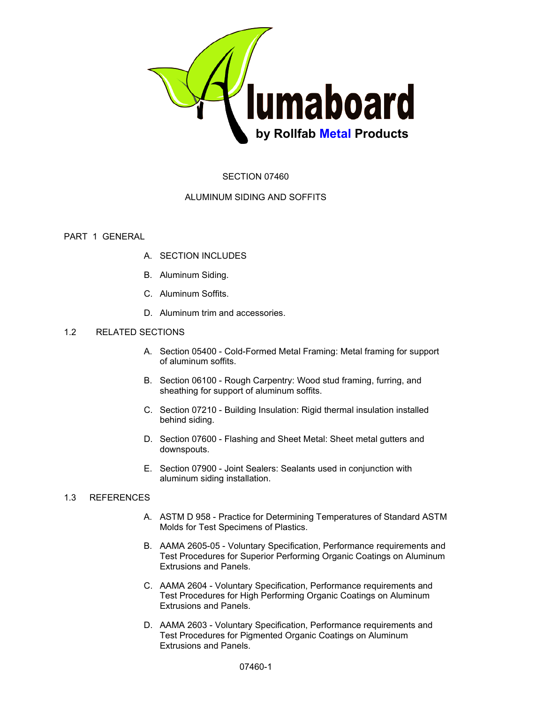

# SECTION 07460

# ALUMINUM SIDING AND SOFFITS

# PART 1 GENERAL

- A. SECTION INCLUDES
- B. Aluminum Siding.
- C. Aluminum Soffits.
- D. Aluminum trim and accessories.

# 1.2 RELATED SECTIONS

- A. Section 05400 Cold-Formed Metal Framing: Metal framing for support of aluminum soffits.
- B. Section 06100 Rough Carpentry: Wood stud framing, furring, and sheathing for support of aluminum soffits.
- C. Section 07210 Building Insulation: Rigid thermal insulation installed behind siding.
- D. Section 07600 Flashing and Sheet Metal: Sheet metal gutters and downspouts.
- E. Section 07900 Joint Sealers: Sealants used in conjunction with aluminum siding installation.

# 1.3 REFERENCES

- A. ASTM D 958 Practice for Determining Temperatures of Standard ASTM Molds for Test Specimens of Plastics.
- B. AAMA 2605-05 Voluntary Specification, Performance requirements and Test Procedures for Superior Performing Organic Coatings on Aluminum Extrusions and Panels.
- C. AAMA 2604 Voluntary Specification, Performance requirements and Test Procedures for High Performing Organic Coatings on Aluminum Extrusions and Panels.
- D. AAMA 2603 Voluntary Specification, Performance requirements and Test Procedures for Pigmented Organic Coatings on Aluminum Extrusions and Panels.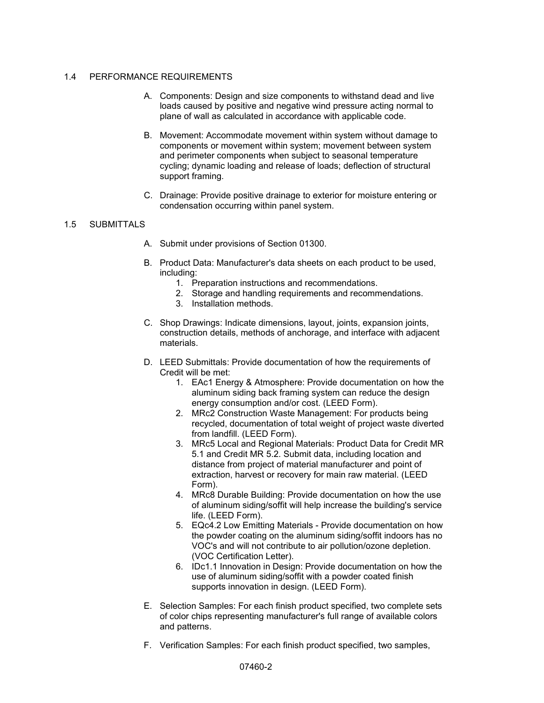### 1.4 PERFORMANCE REQUIREMENTS

- A. Components: Design and size components to withstand dead and live loads caused by positive and negative wind pressure acting normal to plane of wall as calculated in accordance with applicable code.
- B. Movement: Accommodate movement within system without damage to components or movement within system; movement between system and perimeter components when subject to seasonal temperature cycling; dynamic loading and release of loads; deflection of structural support framing.
- C. Drainage: Provide positive drainage to exterior for moisture entering or condensation occurring within panel system.

# 1.5 SUBMITTALS

- A. Submit under provisions of Section 01300.
- B. Product Data: Manufacturer's data sheets on each product to be used, including:
	- 1. Preparation instructions and recommendations.
	- 2. Storage and handling requirements and recommendations.
	- 3. Installation methods.
- C. Shop Drawings: Indicate dimensions, layout, joints, expansion joints, construction details, methods of anchorage, and interface with adjacent materials.
- D. LEED Submittals: Provide documentation of how the requirements of Credit will be met:
	- 1. EAc1 Energy & Atmosphere: Provide documentation on how the aluminum siding back framing system can reduce the design energy consumption and/or cost. (LEED Form).
	- 2. MRc2 Construction Waste Management: For products being recycled, documentation of total weight of project waste diverted from landfill. (LEED Form).
	- 3. MRc5 Local and Regional Materials: Product Data for Credit MR 5.1 and Credit MR 5.2. Submit data, including location and distance from project of material manufacturer and point of extraction, harvest or recovery for main raw material. (LEED Form).
	- 4. MRc8 Durable Building: Provide documentation on how the use of aluminum siding/soffit will help increase the building's service life. (LEED Form).
	- 5. EQc4.2 Low Emitting Materials Provide documentation on how the powder coating on the aluminum siding/soffit indoors has no VOC's and will not contribute to air pollution/ozone depletion. (VOC Certification Letter).
	- 6. IDc1.1 Innovation in Design: Provide documentation on how the use of aluminum siding/soffit with a powder coated finish supports innovation in design. (LEED Form).
- E. Selection Samples: For each finish product specified, two complete sets of color chips representing manufacturer's full range of available colors and patterns.
- F. Verification Samples: For each finish product specified, two samples,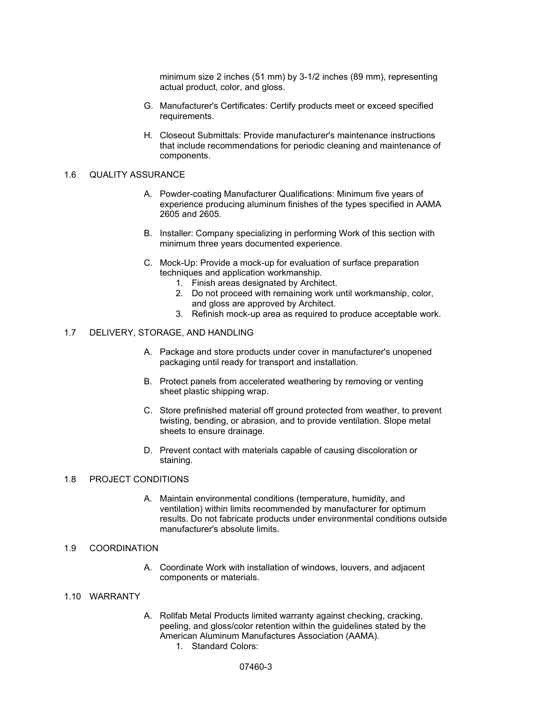minimum size 2 inches (51 mm) by 3-1/2 inches (89 mm), representing actual product, color, and gloss.

- G. Manufacturer's Certificates: Certify products meet or exceed specified requirements.
- H. Closeout Submittals: Provide manufacturer's maintenance instructions that include recommendations for periodic cleaning and maintenance of components.

#### 1.6 QUALITY ASSURANCE

- A. Powder-coating Manufacturer Qualifications: Minimum five years of experience producing aluminum finishes of the types specified in AAMA 2605 and 2605.
- B. Installer: Company specializing in performing Work of this section with minimum three years documented experience.
- C. Mock-Up: Provide a mock-up for evaluation of surface preparation techniques and application workmanship.
	- 1. Finish areas designated by Architect.
	- 2. Do not proceed with remaining work until workmanship, color, and gloss are approved by Architect.
	- 3. Refinish mock-up area as required to produce acceptable work.

#### 1.7 DELIVERY, STORAGE, AND HANDLING

- A. Package and store products under cover in manufacturer's unopened packaging until ready for transport and installation.
- B. Protect panels from accelerated weathering by removing or venting sheet plastic shipping wrap.
- C. Store prefinished material off ground protected from weather, to prevent twisting, bending, or abrasion, and to provide ventilation. Slope metal sheets to ensure drainage.
- D. Prevent contact with materials capable of causing discoloration or staining.

### 1.8 PROJECT CONDITIONS

A. Maintain environmental conditions (temperature, humidity, and ventilation) within limits recommended by manufacturer for optimum results. Do not fabricate products under environmental conditions outside manufacturer's absolute limits

## 1.9 COORDINATION

A. Coordinate Work with installation of windows, louvers, and adjacent components or materials.

### 1.10 WARRANTY

- A. Rollfab Metal Products limited warranty against checking, cracking, peeling, and gloss/color retention within the guidelines stated by the American Aluminum Manufactures Association (AAMA).
	- 1. Standard Colors: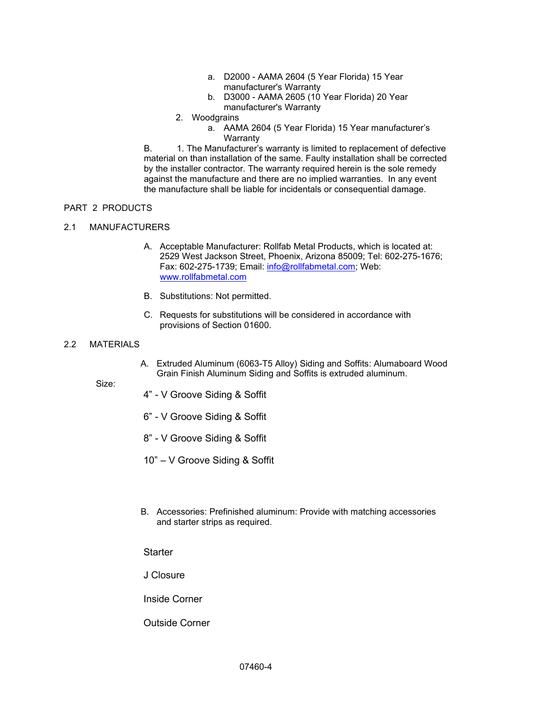- a. D2000 AAMA 2604 (5 Year Florida) 15 Year manufacturer's Warranty
- b. D3000 AAMA 2605 (10 Year Florida) 20 Year manufacturer's Warranty
- 2. Woodgrains
	- a. AAMA 2604 (5 Year Florida) 15 Year manufacturer's **Warranty**

B. 1. The Manufacturer's warranty is limited to replacement of defective material on than installation of the same. Faulty installation shall be corrected by the installer contractor. The warranty required herein is the sole remedy against the manufacture and there are no implied warranties. In any event the manufacture shall be liable for incidentals or consequential damage.

# PART 2 PRODUCTS

## 2.1 MANUFACTURERS

- A. Acceptable Manufacturer: Rollfab Metal Products, which is located at: 2529 West Jackson Street, Phoenix, Arizona 85009; Tel: 602-275-1676; Fax: 602-275-1739; Email: [info@rollfabmetal.com;](mailto:info@rollfabmetal.com)) Web: [www.rollfabmetal.com](http://www.rollfabmetal.com/)
- B. Substitutions: Not permitted.
- C. Requests for substitutions will be considered in accordance with provisions of Section 01600.

### 2.2 MATERIALS

A. Extruded Aluminum (6063-T5 Alloy) Siding and Soffits: Alumaboard Wood Grain Finish Aluminum Siding and Soffits is extruded aluminum.

Size:

- 4" V Groove Siding & Soffit
- 6" V Groove Siding & Soffit
- 8" V Groove Siding & Soffit
- 10" V Groove Siding & Soffit
- B. Accessories: Prefinished aluminum: Provide with matching accessories and starter strips as required.

**Starter** 

J Closure

Inside Corner

Outside Corner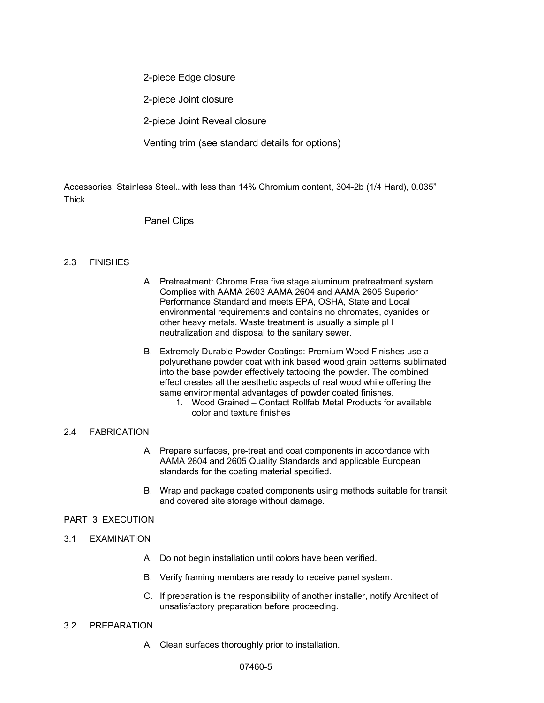2-piece Edge closure

2-piece Joint closure

2-piece Joint Reveal closure

Venting trim (see standard details for options)

Accessories: Stainless Steel…with less than 14% Chromium content, 304-2b (1/4 Hard), 0.035" Thick

# Panel Clips

## 2.3 FlNlSHES

- A. Pretreatment: Chrome Free five stage aluminum pretreatment system. Complies with AAMA 2603 AAMA 2604 and AAMA 2605 Superior Performance Standard and meets EPA, OSHA, State and Local environmental requirements and contains no chromates, cyanides or other heavy metals. Waste treatment is usually a simple pH neutralization and disposal to the sanitary sewer.
- B. Extremely Durable Powder Coatings: Premium Wood Finishes use a polyurethane powder coat with ink based wood grain patterns sublimated into the base powder effectively tattooing the powder. The combined effect creates all the aesthetic aspects of real wood while offering the same environmental advantages of powder coated finishes.
	- 1. Wood Grained Contact Rollfab Metal Products for available color and texture finishes

## 2.4 FABRICATION

- A. Prepare surfaces, pre-treat and coat components in accordance with AAMA 2604 and 2605 Quality Standards and applicable European standards for the coating material specified.
- B. Wrap and package coated components using methods suitable for transit and covered site storage without damage.

## PART 3 EXECUTION

### 3.1 EXAMINATION

- A. Do not begin installation until colors have been verified.
- B. Verify framing members are ready to receive panel system.
- C. If preparation is the responsibility of another installer, notify Architect of unsatisfactory preparation before proceeding.

## 3.2 PREPARATION

A. Clean surfaces thoroughly prior to installation.